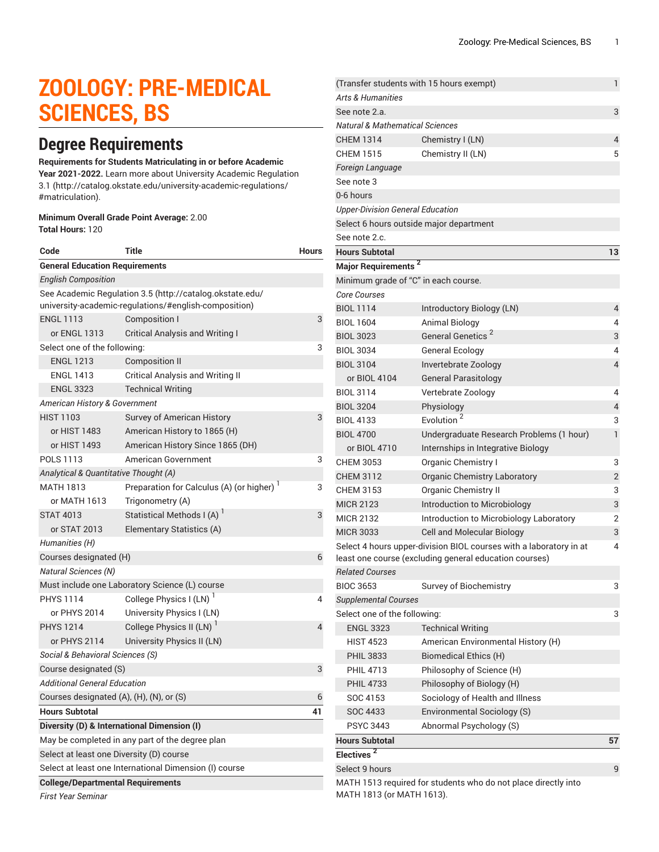# **ZOOLOGY: PRE-MEDICAL SCIENCES, BS**

# **Degree Requirements**

#### **Requirements for Students Matriculating in or before Academic**

**Year 2021-2022.** Learn more about University Academic [Regulation](http://catalog.okstate.edu/university-academic-regulations/#matriculation) [3.1](http://catalog.okstate.edu/university-academic-regulations/#matriculation) ([http://catalog.okstate.edu/university-academic-regulations/](http://catalog.okstate.edu/university-academic-regulations/#matriculation) [#matriculation\)](http://catalog.okstate.edu/university-academic-regulations/#matriculation).

#### **Minimum Overall Grade Point Average:** 2.00 **Total Hours:** 120

| Code                                                                                                              | Title                                          | Hours |  |
|-------------------------------------------------------------------------------------------------------------------|------------------------------------------------|-------|--|
| <b>General Education Requirements</b>                                                                             |                                                |       |  |
| English Composition                                                                                               |                                                |       |  |
| See Academic Regulation 3.5 (http://catalog.okstate.edu/<br>university-academic-regulations/#english-composition) |                                                |       |  |
| <b>ENGL 1113</b>                                                                                                  | <b>Composition I</b>                           | 3     |  |
| or ENGL 1313                                                                                                      | Critical Analysis and Writing I                |       |  |
| Select one of the following:<br>3                                                                                 |                                                |       |  |
| <b>ENGL 1213</b>                                                                                                  | Composition II                                 |       |  |
| <b>ENGL 1413</b>                                                                                                  | <b>Critical Analysis and Writing II</b>        |       |  |
| <b>ENGL 3323</b>                                                                                                  | <b>Technical Writing</b>                       |       |  |
| American History & Government                                                                                     |                                                |       |  |
| <b>HIST 1103</b>                                                                                                  | Survey of American History                     | 3     |  |
| or HIST 1483                                                                                                      | American History to 1865 (H)                   |       |  |
| or HIST 1493                                                                                                      | American History Since 1865 (DH)               |       |  |
| POLS 1113                                                                                                         | American Government                            | 3     |  |
| Analytical & Quantitative Thought (A)                                                                             |                                                |       |  |
| <b>MATH 1813</b>                                                                                                  | Preparation for Calculus (A) (or higher)       | 3     |  |
| or MATH 1613                                                                                                      | Trigonometry (A)                               |       |  |
| <b>STAT 4013</b>                                                                                                  | Statistical Methods I (A) <sup>1</sup>         | 3     |  |
| or STAT 2013                                                                                                      | Elementary Statistics (A)                      |       |  |
| Humanities (H)                                                                                                    |                                                |       |  |
| Courses designated (H)<br>6                                                                                       |                                                |       |  |
| <b>Natural Sciences (N)</b>                                                                                       |                                                |       |  |
|                                                                                                                   | Must include one Laboratory Science (L) course |       |  |
| <b>PHYS 1114</b>                                                                                                  | College Physics I (LN) <sup>1</sup>            | 4     |  |
| or PHYS 2014                                                                                                      | University Physics I (LN)                      |       |  |
| <b>PHYS 1214</b>                                                                                                  | College Physics II (LN)                        | 4     |  |
| or PHYS 2114                                                                                                      | University Physics II (LN)                     |       |  |
| Social & Behavioral Sciences (S)                                                                                  |                                                |       |  |
| Course designated (S)<br>3                                                                                        |                                                |       |  |
| <b>Additional General Education</b>                                                                               |                                                |       |  |
| Courses designated (A), (H), (N), or (S)<br>6                                                                     |                                                |       |  |
| <b>Hours Subtotal</b>                                                                                             |                                                | 41    |  |
| Diversity (D) & International Dimension (I)                                                                       |                                                |       |  |
| May be completed in any part of the degree plan                                                                   |                                                |       |  |
| Select at least one Diversity (D) course                                                                          |                                                |       |  |
| Select at least one International Dimension (I) course                                                            |                                                |       |  |
| <b>College/Departmental Requirements</b>                                                                          |                                                |       |  |
| <b>First Year Seminar</b>                                                                                         |                                                |       |  |

|                                            | (Transfer students with 15 hours exempt)                           | 1              |
|--------------------------------------------|--------------------------------------------------------------------|----------------|
| <b>Arts &amp; Humanities</b>               |                                                                    |                |
| See note 2.a.                              |                                                                    | 3              |
| <b>Natural &amp; Mathematical Sciences</b> |                                                                    |                |
| <b>CHEM 1314</b>                           | Chemistry I (LN)                                                   | 4              |
| <b>CHEM 1515</b>                           | Chemistry II (LN)                                                  | 5              |
| Foreign Language                           |                                                                    |                |
| See note 3                                 |                                                                    |                |
| 0-6 hours                                  |                                                                    |                |
| <b>Upper-Division General Education</b>    |                                                                    |                |
|                                            | Select 6 hours outside major department                            |                |
| See note 2.c.                              |                                                                    |                |
| <b>Hours Subtotal</b>                      |                                                                    | 13             |
| Major Requirements <sup>2</sup>            |                                                                    |                |
|                                            | Minimum grade of "C" in each course.                               |                |
| <b>Core Courses</b>                        |                                                                    |                |
| <b>BIOL 1114</b>                           | Introductory Biology (LN)                                          | 4              |
| <b>BIOL 1604</b>                           | <b>Animal Biology</b>                                              | 4              |
| <b>BIOL 3023</b>                           | General Genetics <sup>2</sup>                                      | 3              |
| <b>BIOL 3034</b>                           | <b>General Ecology</b>                                             | 4              |
| <b>BIOL 3104</b>                           | Invertebrate Zoology                                               | $\overline{4}$ |
| or BIOL 4104                               | <b>General Parasitology</b>                                        |                |
| <b>BIOL 3114</b>                           | Vertebrate Zoology                                                 | 4              |
| <b>BIOL 3204</b>                           | Physiology                                                         | 4              |
| <b>BIOL 4133</b>                           | Evolution <sup>2</sup>                                             | 3              |
| <b>BIOL 4700</b>                           | Undergraduate Research Problems (1 hour)                           | 1              |
| or BIOL 4710                               | Internships in Integrative Biology                                 |                |
| <b>CHEM 3053</b>                           | <b>Organic Chemistry I</b>                                         | 3              |
| <b>CHEM 3112</b>                           | <b>Organic Chemistry Laboratory</b>                                | $\overline{2}$ |
| <b>CHEM 3153</b>                           | <b>Organic Chemistry II</b>                                        | 3              |
| <b>MICR 2123</b>                           | Introduction to Microbiology                                       | 3              |
| <b>MICR 2132</b>                           | Introduction to Microbiology Laboratory                            | 2              |
| <b>MICR 3033</b>                           | <b>Cell and Molecular Biology</b>                                  | 3              |
|                                            | Select 4 hours upper-division BIOL courses with a laboratory in at | 4              |
|                                            | least one course (excluding general education courses)             |                |
| <b>Related Courses</b>                     |                                                                    |                |
| <b>BIOC 3653</b>                           | Survey of Biochemistry                                             | 3              |
| <b>Supplemental Courses</b>                |                                                                    |                |
| Select one of the following:               |                                                                    | 3              |
| <b>ENGL 3323</b>                           | <b>Technical Writing</b>                                           |                |
| <b>HIST 4523</b>                           | American Environmental History (H)                                 |                |
| <b>PHIL 3833</b>                           | Biomedical Ethics (H)                                              |                |
| <b>PHIL 4713</b>                           | Philosophy of Science (H)                                          |                |
| <b>PHIL 4733</b>                           | Philosophy of Biology (H)                                          |                |
| SOC 4153                                   | Sociology of Health and Illness                                    |                |
| SOC 4433                                   | Environmental Sociology (S)                                        |                |
| <b>PSYC 3443</b>                           | Abnormal Psychology (S)                                            |                |
| <b>Hours Subtotal</b>                      |                                                                    | 57             |
| Electives <sup>2</sup>                     |                                                                    |                |
| Select 9 hours                             |                                                                    | 9              |
|                                            | MATH 1513 required for students who do not place directly into     |                |
| MATH 1813 (or MATH 1613).                  |                                                                    |                |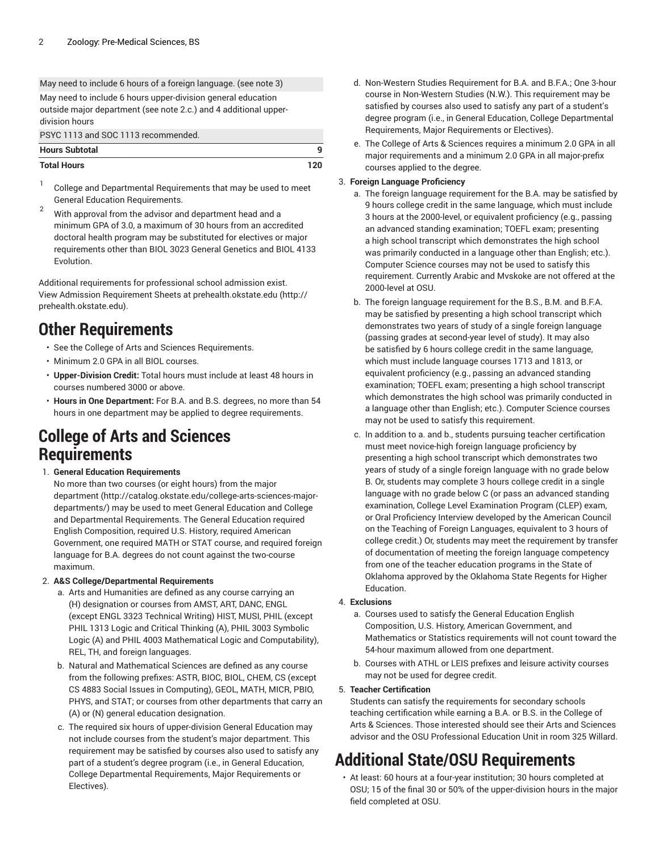May need to include 6 hours of a foreign language. (see note 3) May need to include 6 hours upper-division general education outside major department (see note 2.c.) and 4 additional upperdivision hours

PSYC 1113 and SOC 1113 recommended.

| <b>Hours Subtotal</b> |     |
|-----------------------|-----|
| <b>Total Hours</b>    | 120 |

- 1 College and Departmental Requirements that may be used to meet General Education Requirements.
- $2^2$  With approval from the advisor and department head and a minimum GPA of 3.0, a maximum of 30 hours from an accredited doctoral health program may be substituted for electives or major requirements other than BIOL 3023 General Genetics and BIOL 4133 Evolution.

Additional requirements for professional school admission exist. View Admission Requirement Sheets at [prehealth.okstate.edu](http://prehealth.okstate.edu) ([http://](http://prehealth.okstate.edu) [prehealth.okstate.edu](http://prehealth.okstate.edu)).

### **Other Requirements**

- See the College of Arts and Sciences Requirements.
- Minimum 2.0 GPA in all BIOL courses.
- **Upper-Division Credit:** Total hours must include at least 48 hours in courses numbered 3000 or above.
- **Hours in One Department:** For B.A. and B.S. degrees, no more than 54 hours in one department may be applied to degree requirements.

### **College of Arts and Sciences Requirements**

#### 1. **General Education Requirements**

No more than two courses (or eight hours) from [the major](http://catalog.okstate.edu/college-arts-sciences-major-departments/) [department \(http://catalog.okstate.edu/college-arts-sciences-major](http://catalog.okstate.edu/college-arts-sciences-major-departments/)[departments/](http://catalog.okstate.edu/college-arts-sciences-major-departments/)) may be used to meet General Education and College and Departmental Requirements. The General Education required English Composition, required U.S. History, required American Government, one required MATH or STAT course, and required foreign language for B.A. degrees do not count against the two-course maximum.

#### 2. **A&S College/Departmental Requirements**

- a. Arts and Humanities are defined as any course carrying an (H) designation or courses from AMST, ART, DANC, ENGL (except ENGL 3323 Technical Writing) HIST, MUSI, PHIL (except PHIL 1313 Logic and Critical Thinking (A), PHIL 3003 Symbolic Logic (A) and PHIL 4003 Mathematical Logic and Computability), REL, TH, and foreign languages.
- b. Natural and Mathematical Sciences are defined as any course from the following prefixes: ASTR, BIOC, BIOL, CHEM, CS (except CS 4883 Social Issues in Computing), GEOL, MATH, MICR, PBIO, PHYS, and STAT; or courses from other departments that carry an (A) or (N) general education designation.
- c. The required six hours of upper-division General Education may not include courses from the student's major department. This requirement may be satisfied by courses also used to satisfy any part of a student's degree program (i.e., in General Education, College Departmental Requirements, Major Requirements or Electives).
- d. Non-Western Studies Requirement for B.A. and B.F.A.; One 3-hour course in Non-Western Studies (N.W.). This requirement may be satisfied by courses also used to satisfy any part of a student's degree program (i.e., in General Education, College Departmental Requirements, Major Requirements or Electives).
- e. The College of Arts & Sciences requires a minimum 2.0 GPA in all major requirements and a minimum 2.0 GPA in all major-prefix courses applied to the degree.

#### 3. **Foreign Language Proficiency**

- a. The foreign language requirement for the B.A. may be satisfied by 9 hours college credit in the same language, which must include 3 hours at the 2000-level, or equivalent proficiency (e.g., passing an advanced standing examination; TOEFL exam; presenting a high school transcript which demonstrates the high school was primarily conducted in a language other than English; etc.). Computer Science courses may not be used to satisfy this requirement. Currently Arabic and Mvskoke are not offered at the 2000-level at OSU.
- b. The foreign language requirement for the B.S., B.M. and B.F.A. may be satisfied by presenting a high school transcript which demonstrates two years of study of a single foreign language (passing grades at second-year level of study). It may also be satisfied by 6 hours college credit in the same language, which must include language courses 1713 and 1813, or equivalent proficiency (e.g., passing an advanced standing examination; TOEFL exam; presenting a high school transcript which demonstrates the high school was primarily conducted in a language other than English; etc.). Computer Science courses may not be used to satisfy this requirement.
- c. In addition to a. and b., students pursuing teacher certification must meet novice-high foreign language proficiency by presenting a high school transcript which demonstrates two years of study of a single foreign language with no grade below B. Or, students may complete 3 hours college credit in a single language with no grade below C (or pass an advanced standing examination, College Level Examination Program (CLEP) exam, or Oral Proficiency Interview developed by the American Council on the Teaching of Foreign Languages, equivalent to 3 hours of college credit.) Or, students may meet the requirement by transfer of documentation of meeting the foreign language competency from one of the teacher education programs in the State of Oklahoma approved by the Oklahoma State Regents for Higher Education.

#### 4. **Exclusions**

- a. Courses used to satisfy the General Education English Composition, U.S. History, American Government, and Mathematics or Statistics requirements will not count toward the 54-hour maximum allowed from one department.
- b. Courses with ATHL or LEIS prefixes and leisure activity courses may not be used for degree credit.

#### 5. **Teacher Certification**

Students can satisfy the requirements for secondary schools teaching certification while earning a B.A. or B.S. in the College of Arts & Sciences. Those interested should see their Arts and Sciences advisor and the OSU Professional Education Unit in room 325 Willard.

## **Additional State/OSU Requirements**

• At least: 60 hours at a four-year institution; 30 hours completed at OSU; 15 of the final 30 or 50% of the upper-division hours in the major field completed at OSU.